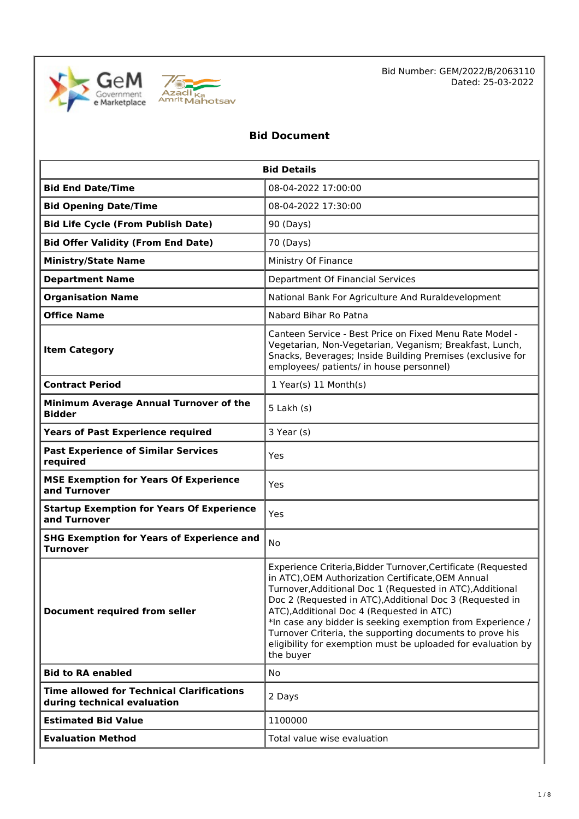



Bid Number: GEM/2022/B/2063110 Dated: 25-03-2022

## **Bid Document**

| <b>Bid Details</b>                                                              |                                                                                                                                                                                                                                                                                                                                                                                                                                                                                                 |  |  |
|---------------------------------------------------------------------------------|-------------------------------------------------------------------------------------------------------------------------------------------------------------------------------------------------------------------------------------------------------------------------------------------------------------------------------------------------------------------------------------------------------------------------------------------------------------------------------------------------|--|--|
| 08-04-2022 17:00:00<br><b>Bid End Date/Time</b>                                 |                                                                                                                                                                                                                                                                                                                                                                                                                                                                                                 |  |  |
| <b>Bid Opening Date/Time</b>                                                    | 08-04-2022 17:30:00                                                                                                                                                                                                                                                                                                                                                                                                                                                                             |  |  |
| <b>Bid Life Cycle (From Publish Date)</b>                                       | 90 (Days)                                                                                                                                                                                                                                                                                                                                                                                                                                                                                       |  |  |
| <b>Bid Offer Validity (From End Date)</b>                                       | 70 (Days)                                                                                                                                                                                                                                                                                                                                                                                                                                                                                       |  |  |
| <b>Ministry/State Name</b>                                                      | Ministry Of Finance                                                                                                                                                                                                                                                                                                                                                                                                                                                                             |  |  |
| <b>Department Name</b>                                                          | Department Of Financial Services                                                                                                                                                                                                                                                                                                                                                                                                                                                                |  |  |
| <b>Organisation Name</b>                                                        | National Bank For Agriculture And Ruraldevelopment                                                                                                                                                                                                                                                                                                                                                                                                                                              |  |  |
| <b>Office Name</b>                                                              | Nabard Bihar Ro Patna                                                                                                                                                                                                                                                                                                                                                                                                                                                                           |  |  |
| <b>Item Category</b>                                                            | Canteen Service - Best Price on Fixed Menu Rate Model -<br>Vegetarian, Non-Vegetarian, Veganism; Breakfast, Lunch,<br>Snacks, Beverages; Inside Building Premises (exclusive for<br>employees/ patients/ in house personnel)                                                                                                                                                                                                                                                                    |  |  |
| <b>Contract Period</b>                                                          | 1 Year(s) 11 Month(s)                                                                                                                                                                                                                                                                                                                                                                                                                                                                           |  |  |
| Minimum Average Annual Turnover of the<br><b>Bidder</b>                         | $5$ Lakh $(s)$                                                                                                                                                                                                                                                                                                                                                                                                                                                                                  |  |  |
| <b>Years of Past Experience required</b>                                        | 3 Year (s)                                                                                                                                                                                                                                                                                                                                                                                                                                                                                      |  |  |
| <b>Past Experience of Similar Services</b><br>required                          | Yes                                                                                                                                                                                                                                                                                                                                                                                                                                                                                             |  |  |
| <b>MSE Exemption for Years Of Experience</b><br>and Turnover                    | Yes                                                                                                                                                                                                                                                                                                                                                                                                                                                                                             |  |  |
| <b>Startup Exemption for Years Of Experience</b><br>Yes<br>and Turnover         |                                                                                                                                                                                                                                                                                                                                                                                                                                                                                                 |  |  |
| <b>SHG Exemption for Years of Experience and</b><br><b>Turnover</b>             | No                                                                                                                                                                                                                                                                                                                                                                                                                                                                                              |  |  |
| <b>Document required from seller</b>                                            | Experience Criteria, Bidder Turnover, Certificate (Requested<br>in ATC), OEM Authorization Certificate, OEM Annual<br>Turnover, Additional Doc 1 (Requested in ATC), Additional<br>Doc 2 (Requested in ATC), Additional Doc 3 (Requested in<br>ATC), Additional Doc 4 (Requested in ATC)<br>*In case any bidder is seeking exemption from Experience /<br>Turnover Criteria, the supporting documents to prove his<br>eligibility for exemption must be uploaded for evaluation by<br>the buyer |  |  |
| <b>Bid to RA enabled</b>                                                        | No                                                                                                                                                                                                                                                                                                                                                                                                                                                                                              |  |  |
| <b>Time allowed for Technical Clarifications</b><br>during technical evaluation | 2 Days                                                                                                                                                                                                                                                                                                                                                                                                                                                                                          |  |  |
| <b>Estimated Bid Value</b>                                                      | 1100000                                                                                                                                                                                                                                                                                                                                                                                                                                                                                         |  |  |
| <b>Evaluation Method</b>                                                        | Total value wise evaluation                                                                                                                                                                                                                                                                                                                                                                                                                                                                     |  |  |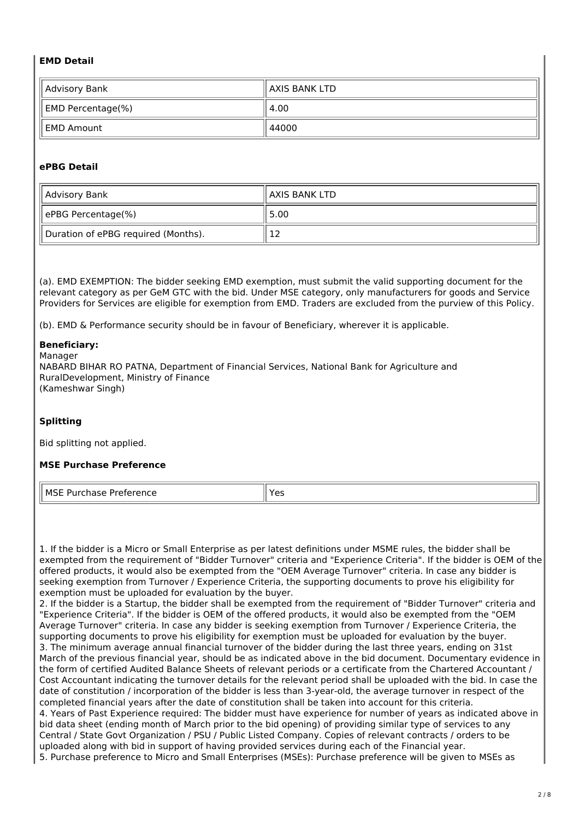### **EMD Detail**

| Advisory Bank     | ll AXIS BANK LTD |
|-------------------|------------------|
| EMD Percentage(%) | 4.00             |
| l EMD Amount      | 44000            |

## **ePBG Detail**

| Advisory Bank                       | ll AXIS BANK LTD |
|-------------------------------------|------------------|
| ePBG Percentage(%)                  | 5.00             |
| Duration of ePBG required (Months). | ⊥∠               |

(a). EMD EXEMPTION: The bidder seeking EMD exemption, must submit the valid supporting document for the relevant category as per GeM GTC with the bid. Under MSE category, only manufacturers for goods and Service Providers for Services are eligible for exemption from EMD. Traders are excluded from the purview of this Policy.

(b). EMD & Performance security should be in favour of Beneficiary, wherever it is applicable.

#### **Beneficiary:**

Manager NABARD BIHAR RO PATNA, Department of Financial Services, National Bank for Agriculture and RuralDevelopment, Ministry of Finance (Kameshwar Singh)

#### **Splitting**

Bid splitting not applied.

#### **MSE Purchase Preference**

| II MSE<br>5 - - - - - - -<br>'''<br>.<br>$-$<br>. | $\sim$<br>--<br>$ -$ |
|---------------------------------------------------|----------------------|
|---------------------------------------------------|----------------------|

1. If the bidder is a Micro or Small Enterprise as per latest definitions under MSME rules, the bidder shall be exempted from the requirement of "Bidder Turnover" criteria and "Experience Criteria". If the bidder is OEM of the offered products, it would also be exempted from the "OEM Average Turnover" criteria. In case any bidder is seeking exemption from Turnover / Experience Criteria, the supporting documents to prove his eligibility for exemption must be uploaded for evaluation by the buyer.

2. If the bidder is a Startup, the bidder shall be exempted from the requirement of "Bidder Turnover" criteria and "Experience Criteria". If the bidder is OEM of the offered products, it would also be exempted from the "OEM Average Turnover" criteria. In case any bidder is seeking exemption from Turnover / Experience Criteria, the supporting documents to prove his eligibility for exemption must be uploaded for evaluation by the buyer. 3. The minimum average annual financial turnover of the bidder during the last three years, ending on 31st March of the previous financial year, should be as indicated above in the bid document. Documentary evidence in the form of certified Audited Balance Sheets of relevant periods or a certificate from the Chartered Accountant / Cost Accountant indicating the turnover details for the relevant period shall be uploaded with the bid. In case the date of constitution / incorporation of the bidder is less than 3-year-old, the average turnover in respect of the completed financial years after the date of constitution shall be taken into account for this criteria. 4. Years of Past Experience required: The bidder must have experience for number of years as indicated above in bid data sheet (ending month of March prior to the bid opening) of providing similar type of services to any Central / State Govt Organization / PSU / Public Listed Company. Copies of relevant contracts / orders to be uploaded along with bid in support of having provided services during each of the Financial year. 5. Purchase preference to Micro and Small Enterprises (MSEs): Purchase preference will be given to MSEs as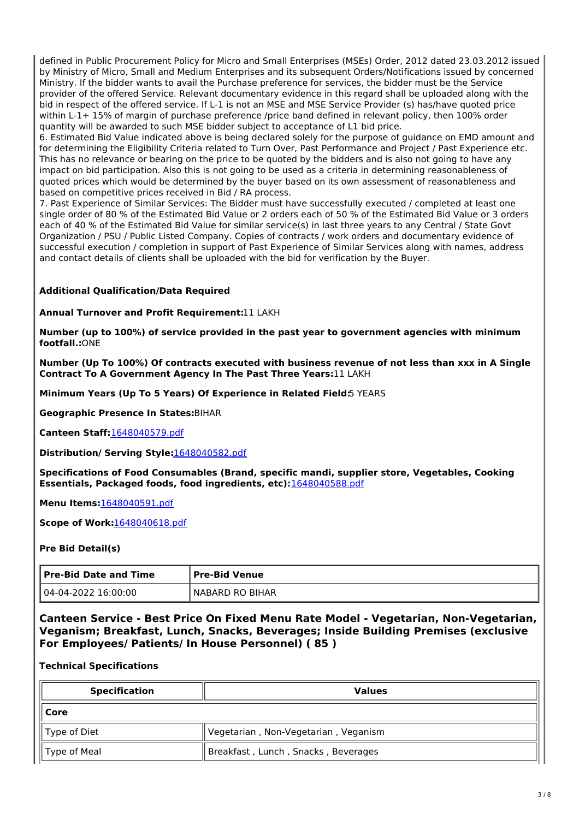defined in Public Procurement Policy for Micro and Small Enterprises (MSEs) Order, 2012 dated 23.03.2012 issued by Ministry of Micro, Small and Medium Enterprises and its subsequent Orders/Notifications issued by concerned Ministry. If the bidder wants to avail the Purchase preference for services, the bidder must be the Service provider of the offered Service. Relevant documentary evidence in this regard shall be uploaded along with the bid in respect of the offered service. If L-1 is not an MSE and MSE Service Provider (s) has/have quoted price within L-1+ 15% of margin of purchase preference /price band defined in relevant policy, then 100% order quantity will be awarded to such MSE bidder subject to acceptance of L1 bid price.

6. Estimated Bid Value indicated above is being declared solely for the purpose of guidance on EMD amount and for determining the Eligibility Criteria related to Turn Over, Past Performance and Project / Past Experience etc. This has no relevance or bearing on the price to be quoted by the bidders and is also not going to have any impact on bid participation. Also this is not going to be used as a criteria in determining reasonableness of quoted prices which would be determined by the buyer based on its own assessment of reasonableness and based on competitive prices received in Bid / RA process.

7. Past Experience of Similar Services: The Bidder must have successfully executed / completed at least one single order of 80 % of the Estimated Bid Value or 2 orders each of 50 % of the Estimated Bid Value or 3 orders each of 40 % of the Estimated Bid Value for similar service(s) in last three years to any Central / State Govt Organization / PSU / Public Listed Company. Copies of contracts / work orders and documentary evidence of successful execution / completion in support of Past Experience of Similar Services along with names, address and contact details of clients shall be uploaded with the bid for verification by the Buyer.

## **Additional Qualification/Data Required**

**Annual Turnover and Profit Requirement:**11 LAKH

**Number (up to 100%) of service provided in the past year to government agencies with minimum footfall.:**ONE

**Number (Up To 100%) Of contracts executed with business revenue of not less than xxx in A Single Contract To A Government Agency In The Past Three Years:**11 LAKH

**Minimum Years (Up To 5 Years) Of Experience in Related Field:**5 YEARS

**Geographic Presence In States:**BIHAR

**Canteen Staff:**1648040579.pdf

**Distribution/ Serving Style:**1648040582.pdf

**Specifications of Food Consumables (Brand, specific mandi, supplier store, Vegetables, Cooking Essentials, Packaged foods, food ingredients, etc):**1648040588.pdf

**Menu Items:**1648040591.pdf

**Scope of Work:**1648040618.pdf

#### **Pre Bid Detail(s)**

| Pre-Bid Date and Time | ' Pre-Bid Venue |
|-----------------------|-----------------|
| l 04-04-2022 16:00:00 | NABARD RO BIHAR |

**Canteen Service - Best Price On Fixed Menu Rate Model - Vegetarian, Non-Vegetarian, Veganism; Breakfast, Lunch, Snacks, Beverages; Inside Building Premises (exclusive For Employees/ Patients/ In House Personnel) ( 85 )**

#### **Technical Specifications**

| <b>Specification</b><br><b>Values</b> |                                      |
|---------------------------------------|--------------------------------------|
| Core                                  |                                      |
| Type of Diet                          | Vegetarian, Non-Vegetarian, Veganism |
| <sup> </sup>   Type of Meal           | Breakfast, Lunch, Snacks, Beverages  |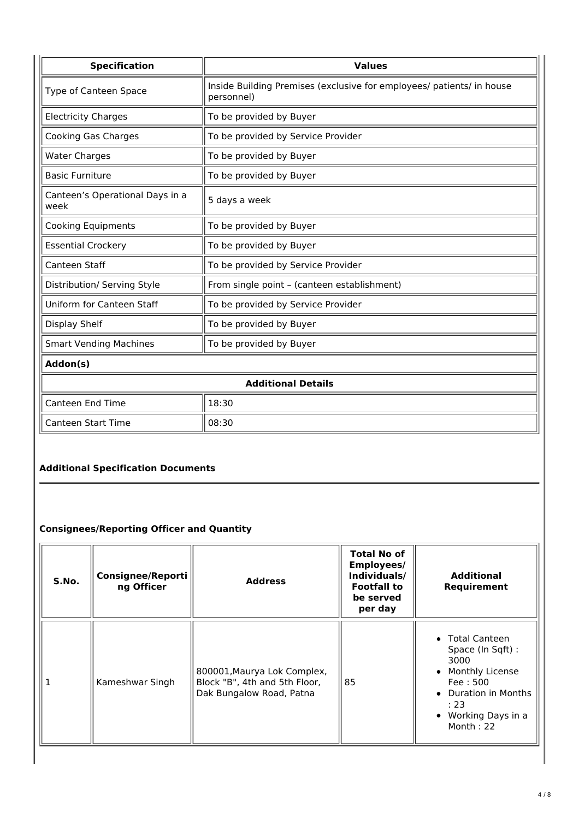| <b>Specification</b>                    | <b>Values</b>                                                                       |  |
|-----------------------------------------|-------------------------------------------------------------------------------------|--|
| Type of Canteen Space                   | Inside Building Premises (exclusive for employees/ patients/ in house<br>personnel) |  |
| <b>Electricity Charges</b>              | To be provided by Buyer                                                             |  |
| Cooking Gas Charges                     | To be provided by Service Provider                                                  |  |
| <b>Water Charges</b>                    | To be provided by Buyer                                                             |  |
| <b>Basic Furniture</b>                  | To be provided by Buyer                                                             |  |
| Canteen's Operational Days in a<br>week | 5 days a week                                                                       |  |
| <b>Cooking Equipments</b>               | To be provided by Buyer                                                             |  |
| <b>Essential Crockery</b>               | To be provided by Buyer                                                             |  |
| Canteen Staff                           | To be provided by Service Provider                                                  |  |
| Distribution/ Serving Style             | From single point - (canteen establishment)                                         |  |
| Uniform for Canteen Staff               | To be provided by Service Provider                                                  |  |
| Display Shelf                           | To be provided by Buyer                                                             |  |
| <b>Smart Vending Machines</b>           | To be provided by Buyer                                                             |  |
| Addon(s)                                |                                                                                     |  |
| <b>Additional Details</b>               |                                                                                     |  |
| <b>Canteen End Time</b>                 | 18:30                                                                               |  |
| <b>Canteen Start Time</b>               | 08:30                                                                               |  |

## **Additional Specification Documents**

## **Consignees/Reporting Officer and Quantity**

| S.No. | Consignee/Reporti<br>ng Officer | <b>Address</b>                                                                           | <b>Total No of</b><br>Employees/<br>Individuals/<br><b>Footfall to</b><br>be served<br>per day | <b>Additional</b><br>Requirement                                                                                                                             |
|-------|---------------------------------|------------------------------------------------------------------------------------------|------------------------------------------------------------------------------------------------|--------------------------------------------------------------------------------------------------------------------------------------------------------------|
|       | Kameshwar Singh                 | 800001, Maurya Lok Complex,<br>Block "B", 4th and 5th Floor,<br>Dak Bungalow Road, Patna | 85                                                                                             | • Total Canteen<br>Space (In Sqft) :<br>3000<br>Monthly License<br>$\bullet$<br>Fee: 500<br>• Duration in Months<br>: 23<br>• Working Days in a<br>Month: 22 |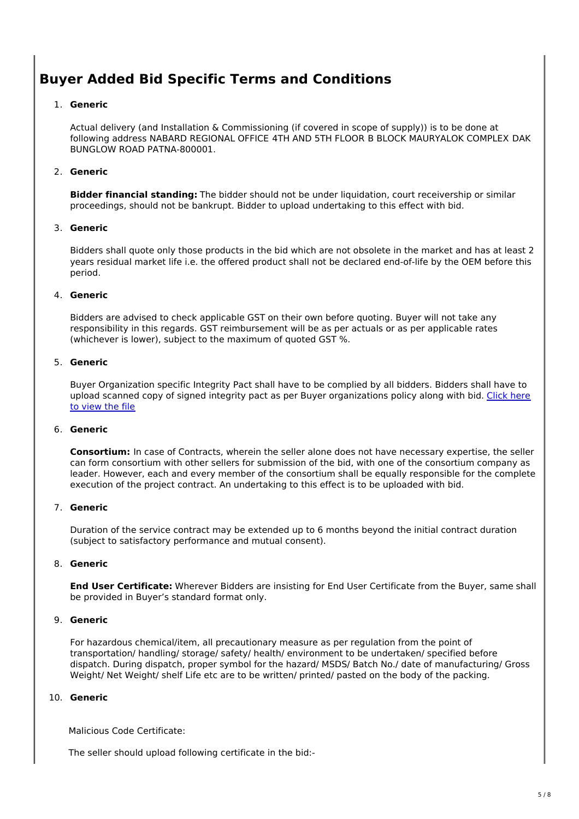## **Buyer Added Bid Specific Terms and Conditions**

### 1. **Generic**

Actual delivery (and Installation & Commissioning (if covered in scope of supply)) is to be done at following address NABARD REGIONAL OFFICE 4TH AND 5TH FLOOR B BLOCK MAURYALOK COMPLEX DAK BUNGLOW ROAD PATNA-800001.

## 2. **Generic**

**Bidder financial standing:** The bidder should not be under liquidation, court receivership or similar proceedings, should not be bankrupt. Bidder to upload undertaking to this effect with bid.

#### 3. **Generic**

Bidders shall quote only those products in the bid which are not obsolete in the market and has at least 2 years residual market life i.e. the offered product shall not be declared end-of-life by the OEM before this period.

#### 4. **Generic**

Bidders are advised to check applicable GST on their own before quoting. Buyer will not take any responsibility in this regards. GST reimbursement will be as per actuals or as per applicable rates (whichever is lower), subject to the maximum of quoted GST %.

#### 5. **Generic**

Buyer Organization specific Integrity Pact shall have to be complied by all bidders. Bidders shall have to upload scanned copy of signed integrity pact as per Buyer organizations policy along with bid. Click here to view the file

#### 6. **Generic**

**Consortium:** In case of Contracts, wherein the seller alone does not have necessary expertise, the seller can form consortium with other sellers for submission of the bid, with one of the consortium company as leader. However, each and every member of the consortium shall be equally responsible for the complete execution of the project contract. An undertaking to this effect is to be uploaded with bid.

## 7. **Generic**

Duration of the service contract may be extended up to 6 months beyond the initial contract duration (subject to satisfactory performance and mutual consent).

#### 8. **Generic**

**End User Certificate:** Wherever Bidders are insisting for End User Certificate from the Buyer, same shall be provided in Buyer's standard format only.

#### 9. **Generic**

For hazardous chemical/item, all precautionary measure as per regulation from the point of transportation/ handling/ storage/ safety/ health/ environment to be undertaken/ specified before dispatch. During dispatch, proper symbol for the hazard/ MSDS/ Batch No./ date of manufacturing/ Gross Weight/ Net Weight/ shelf Life etc are to be written/ printed/ pasted on the body of the packing.

## 10. **Generic**

Malicious Code Certificate:

The seller should upload following certificate in the bid:-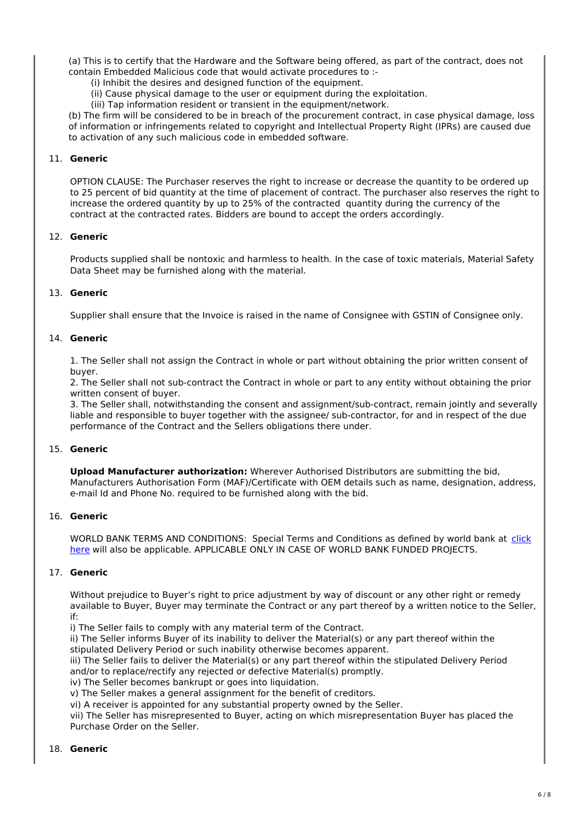(a) This is to certify that the Hardware and the Software being offered, as part of the contract, does not contain Embedded Malicious code that would activate procedures to :-

(i) Inhibit the desires and designed function of the equipment.

(ii) Cause physical damage to the user or equipment during the exploitation.

(iii) Tap information resident or transient in the equipment/network.

(b) The firm will be considered to be in breach of the procurement contract, in case physical damage, loss of information or infringements related to copyright and Intellectual Property Right (IPRs) are caused due to activation of any such malicious code in embedded software.

#### 11. **Generic**

OPTION CLAUSE: The Purchaser reserves the right to increase or decrease the quantity to be ordered up to 25 percent of bid quantity at the time of placement of contract. The purchaser also reserves the right to increase the ordered quantity by up to 25% of the contracted quantity during the currency of the contract at the contracted rates. Bidders are bound to accept the orders accordingly.

#### 12. **Generic**

Products supplied shall be nontoxic and harmless to health. In the case of toxic materials, Material Safety Data Sheet may be furnished along with the material.

#### 13. **Generic**

Supplier shall ensure that the Invoice is raised in the name of Consignee with GSTIN of Consignee only.

#### 14. **Generic**

1. The Seller shall not assign the Contract in whole or part without obtaining the prior written consent of buyer.

2. The Seller shall not sub-contract the Contract in whole or part to any entity without obtaining the prior written consent of buyer.

3. The Seller shall, notwithstanding the consent and assignment/sub-contract, remain jointly and severally liable and responsible to buyer together with the assignee/ sub-contractor, for and in respect of the due performance of the Contract and the Sellers obligations there under.

#### 15. **Generic**

**Upload Manufacturer authorization:** Wherever Authorised Distributors are submitting the bid, Manufacturers Authorisation Form (MAF)/Certificate with OEM details such as name, designation, address, e-mail Id and Phone No. required to be furnished along with the bid.

#### 16. **Generic**

WORLD BANK TERMS AND CONDITIONS: Special Terms and Conditions as defined by world bank at click here will also be applicable. APPLICABLE ONLY IN CASE OF WORLD BANK FUNDED PROJECTS.

## 17. **Generic**

Without prejudice to Buyer's right to price adjustment by way of discount or any other right or remedy available to Buyer, Buyer may terminate the Contract or any part thereof by a written notice to the Seller, if:

i) The Seller fails to comply with any material term of the Contract.

ii) The Seller informs Buyer of its inability to deliver the Material(s) or any part thereof within the stipulated Delivery Period or such inability otherwise becomes apparent.

iii) The Seller fails to deliver the Material(s) or any part thereof within the stipulated Delivery Period and/or to replace/rectify any rejected or defective Material(s) promptly.

iv) The Seller becomes bankrupt or goes into liquidation.

v) The Seller makes a general assignment for the benefit of creditors.

vi) A receiver is appointed for any substantial property owned by the Seller.

vii) The Seller has misrepresented to Buyer, acting on which misrepresentation Buyer has placed the Purchase Order on the Seller.

#### 18. **Generic**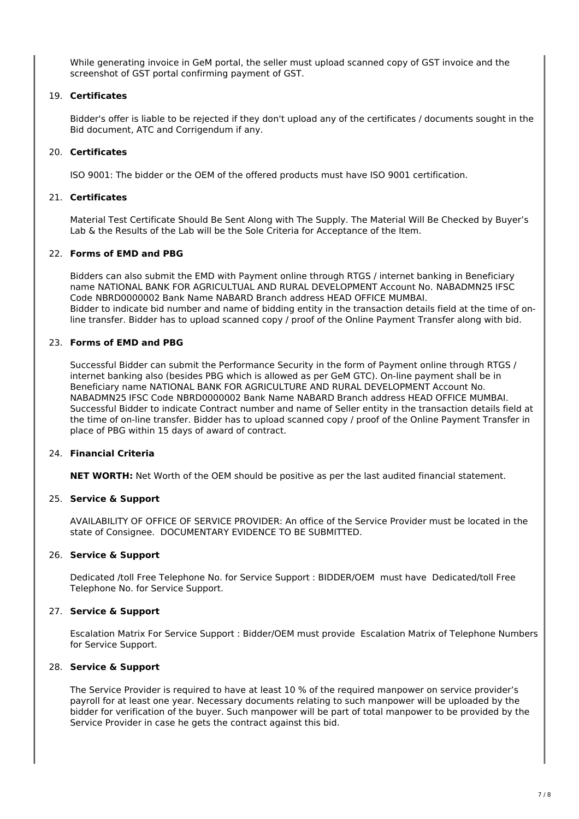While generating invoice in GeM portal, the seller must upload scanned copy of GST invoice and the screenshot of GST portal confirming payment of GST.

#### 19. **Certificates**

Bidder's offer is liable to be rejected if they don't upload any of the certificates / documents sought in the Bid document, ATC and Corrigendum if any.

#### 20. **Certificates**

ISO 9001: The bidder or the OEM of the offered products must have ISO 9001 certification.

#### 21. **Certificates**

Material Test Certificate Should Be Sent Along with The Supply. The Material Will Be Checked by Buyer's Lab & the Results of the Lab will be the Sole Criteria for Acceptance of the Item.

#### 22. **Forms of EMD and PBG**

Bidders can also submit the EMD with Payment online through RTGS / internet banking in Beneficiary name NATIONAL BANK FOR AGRICULTUAL AND RURAL DEVELOPMENT Account No. NABADMN25 IFSC Code NBRD0000002 Bank Name NABARD Branch address HEAD OFFICE MUMBAI. Bidder to indicate bid number and name of bidding entity in the transaction details field at the time of online transfer. Bidder has to upload scanned copy / proof of the Online Payment Transfer along with bid.

#### 23. **Forms of EMD and PBG**

Successful Bidder can submit the Performance Security in the form of Payment online through RTGS / internet banking also (besides PBG which is allowed as per GeM GTC). On-line payment shall be in Beneficiary name NATIONAL BANK FOR AGRICULTURE AND RURAL DEVELOPMENT Account No. NABADMN25 IFSC Code NBRD0000002 Bank Name NABARD Branch address HEAD OFFICE MUMBAI. Successful Bidder to indicate Contract number and name of Seller entity in the transaction details field at the time of on-line transfer. Bidder has to upload scanned copy / proof of the Online Payment Transfer in place of PBG within 15 days of award of contract.

#### 24. **Financial Criteria**

**NET WORTH:** Net Worth of the OEM should be positive as per the last audited financial statement.

#### 25. **Service & Support**

AVAILABILITY OF OFFICE OF SERVICE PROVIDER: An office of the Service Provider must be located in the state of Consignee. DOCUMENTARY EVIDENCE TO BE SUBMITTED.

#### 26. **Service & Support**

Dedicated /toll Free Telephone No. for Service Support : BIDDER/OEM must have Dedicated/toll Free Telephone No. for Service Support.

#### 27. **Service & Support**

Escalation Matrix For Service Support : Bidder/OEM must provide Escalation Matrix of Telephone Numbers for Service Support.

#### 28. **Service & Support**

The Service Provider is required to have at least 10 % of the required manpower on service provider's payroll for at least one year. Necessary documents relating to such manpower will be uploaded by the bidder for verification of the buyer. Such manpower will be part of total manpower to be provided by the Service Provider in case he gets the contract against this bid.